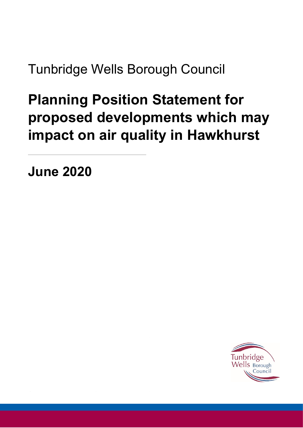Tunbridge Wells Borough Council

## **Planning Position Statement for proposed developments which may impact on air quality in Hawkhurst**

**June 2020**

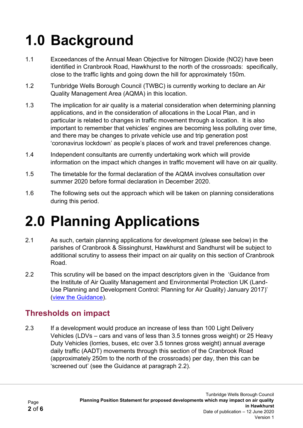# **1.0 Background**

- 1.1 Exceedances of the Annual Mean Objective for Nitrogen Dioxide (NO2) have been identified in Cranbrook Road, Hawkhurst to the north of the crossroads: specifically, close to the traffic lights and going down the hill for approximately 150m.
- 1.2 Tunbridge Wells Borough Council (TWBC) is currently working to declare an Air Quality Management Area (AQMA) in this location.
- 1.3 The implication for air quality is a material consideration when determining planning applications, and in the consideration of allocations in the Local Plan, and in particular is related to changes in traffic movement through a location. It is also important to remember that vehicles' engines are becoming less polluting over time, and there may be changes to private vehicle use and trip generation post 'coronavirus lockdown' as people's places of work and travel preferences change.
- 1.4 Independent consultants are currently undertaking work which will provide information on the impact which changes in traffic movement will have on air quality.
- 1.5 The timetable for the formal declaration of the AQMA involves consultation over summer 2020 before formal declaration in December 2020.
- 1.6 The following sets out the approach which will be taken on planning considerations during this period.

## **2.0 Planning Applications**

- 2.1 As such, certain planning applications for development (please see below) in the parishes of Cranbrook & Sissinghurst, Hawkhurst and Sandhurst will be subject to additional scrutiny to assess their impact on air quality on this section of Cranbrook Road.
- 2.2 This scrutiny will be based on the impact descriptors given in the 'Guidance from the Institute of Air Quality Management and Environmental Protection UK (Land-Use Planning and Development Control: Planning for Air Quality) January 2017)' [\(view the Guidance\)](1.1%09http:/www.iaqm.co.uk/text/guidance/air-quality-planning-guidance.pdf).

### **Thresholds on impact**

2.3 If a development would produce an increase of less than 100 Light Delivery Vehicles (LDVs – cars and vans of less than 3.5 tonnes gross weight) or 25 Heavy Duty Vehicles (lorries, buses, etc over 3.5 tonnes gross weight) annual average daily traffic (AADT) movements through this section of the Cranbrook Road (approximately 250m to the north of the crossroads) per day, then this can be 'screened out' (see the Guidance at paragraph 2.2).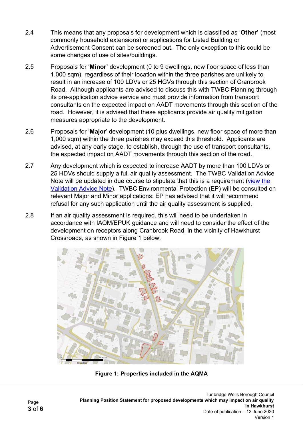- 2.4 This means that any proposals for development which is classified as '**Other'** (most commonly household extensions) or applications for Listed Building or Advertisement Consent can be screened out. The only exception to this could be some changes of use of sites/buildings.
- 2.5 Proposals for '**Minor'** development (0 to 9 dwellings, new floor space of less than 1,000 sqm), regardless of their location within the three parishes are unlikely to result in an increase of 100 LDVs or 25 HGVs through this section of Cranbrook Road. Although applicants are advised to discuss this with TWBC Planning through its pre-application advice service and must provide information from transport consultants on the expected impact on AADT movements through this section of the road. However, it is advised that these applicants provide air quality mitigation measures appropriate to the development.
- 2.6 Proposals for '**Major**' development (10 plus dwellings, new floor space of more than 1,000 sqm) within the three parishes may exceed this threshold. Applicants are advised, at any early stage, to establish, through the use of transport consultants, the expected impact on AADT movements through this section of the road.
- 2.7 Any development which is expected to increase AADT by more than 100 LDVs or 25 HDVs should supply a full air quality assessment. The TWBC Validation Advice Note will be updated in due course to stipulate that this is a requirement [\(view the](http://www.tunbridgewells.gov.uk/__data/assets/pdf_file/0017/16415/Tunbridge-Wells-Validation-Advice-Note_2017.pdf)  [Validation Advice Note\)](http://www.tunbridgewells.gov.uk/__data/assets/pdf_file/0017/16415/Tunbridge-Wells-Validation-Advice-Note_2017.pdf). TWBC Environmental Protection (EP) will be consulted on relevant Major and Minor applications: EP has advised that it will recommend refusal for any such application until the air quality assessment is supplied.
- 2.8 If an air quality assessment is required, this will need to be undertaken in accordance with IAQM/EPUK guidance and will need to consider the effect of the development on receptors along Cranbrook Road, in the vicinity of Hawkhurst Crossroads, as shown in Figure 1 below.



**Figure 1: Properties included in the AQMA**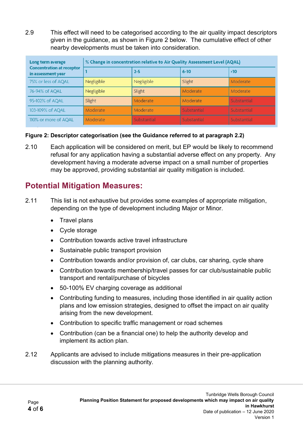2.9 This effect will need to be categorised according to the air quality impact descriptors given in the guidance, as shown in Figure 2 below. The cumulative effect of other nearby developments must be taken into consideration.

| Long term average<br><b>Concentration at receptor</b><br>in assessment year | % Change in concentration relative to Air Quality Assessment Level (AQAL) |             |             |             |
|-----------------------------------------------------------------------------|---------------------------------------------------------------------------|-------------|-------------|-------------|
|                                                                             |                                                                           | $2 - 5$     | $6 - 10$    | $\cdot$ 10  |
| 75% or less of AQAL                                                         | Negligible                                                                | Negligible  | Slight      | Moderate    |
| 76-94% of AQAL                                                              | Negligible                                                                | Slight      | Moderate    | Moderate    |
| 95-102% of AQAL                                                             | Slight                                                                    | Moderate    | Moderate    | Substantial |
| 103-109% of AQAL                                                            | Moderate                                                                  | Moderate    | Substantial | Substantial |
| 110% or more of AOAL                                                        | Moderate                                                                  | Substantial | Substantial | Substantial |

#### **Figure 2: Descriptor categorisation (see the Guidance referred to at paragraph 2.2)**

2.10 Each application will be considered on merit, but EP would be likely to recommend refusal for any application having a substantial adverse effect on any property. Any development having a moderate adverse impact on a small number of properties may be approved, providing substantial air quality mitigation is included.

### **Potential Mitigation Measures:**

- 2.11 This list is not exhaustive but provides some examples of appropriate mitigation, depending on the type of development including Major or Minor.
	- Travel plans
	- Cycle storage
	- Contribution towards active travel infrastructure
	- Sustainable public transport provision
	- Contribution towards and/or provision of, car clubs, car sharing, cycle share
	- Contribution towards membership/travel passes for car club/sustainable public transport and rental/purchase of bicycles
	- 50-100% EV charging coverage as additional
	- Contributing funding to measures, including those identified in air quality action plans and low emission strategies, designed to offset the impact on air quality arising from the new development.
	- Contribution to specific traffic management or road schemes
	- Contribution (can be a financial one) to help the authority develop and implement its action plan.
- 2.12 Applicants are advised to include mitigations measures in their pre-application discussion with the planning authority.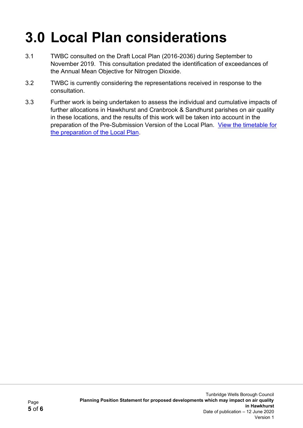# **3.0 Local Plan considerations**

- 3.1 TWBC consulted on the Draft Local Plan (2016-2036) during September to November 2019. This consultation predated the identification of exceedances of the Annual Mean Objective for Nitrogen Dioxide.
- 3.2 TWBC is currently considering the representations received in response to the consultation.
- 3.3 Further work is being undertaken to assess the individual and cumulative impacts of further allocations in Hawkhurst and Cranbrook & Sandhurst parishes on air quality in these locations, and the results of this work will be taken into account in the preparation of the Pre-Submission Version of the Local Plan. [View the timetable for](https://beta.tunbridgewells.gov.uk/planning/planning-policy/local-development-scheme)  [the preparation of the Local Plan.](https://beta.tunbridgewells.gov.uk/planning/planning-policy/local-development-scheme)